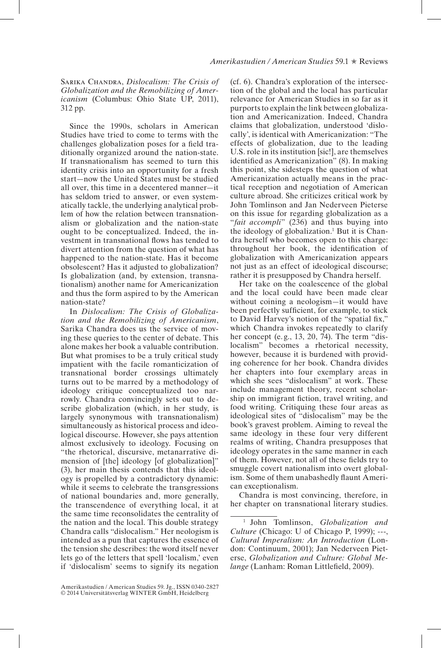(cf. 6). Chandra's exploration of the intersec-

## Sarika Chandra, *Dislocalism: The Crisis of Globalization and the Remobilizing of Americanism* (Columbus: Ohio State UP, 2011), 312 pp.

Since the 1990s, scholars in American Studies have tried to come to terms with the challenges globalization poses for a field traditionally organized around the nation-state. If transnationalism has seemed to turn this identity crisis into an opportunity for a fresh start—now the United States must be studied all over, this time in a decentered manner—it has seldom tried to answer, or even systematically tackle, the underlying analytical problem of how the relation between transnationalism or globalization and the nation-state ought to be conceptualized. Indeed, the investment in transnational flows has tended to divert attention from the question of what has happened to the nation-state. Has it become obsolescent? Has it adjusted to globalization? Is globalization (and, by extension, transnationalism) another name for Americanization and thus the form aspired to by the American nation-state?

In *Dislocalism: The Crisis of Globalization and the Remobilizing of Americanism*, Sarika Chandra does us the service of moving these queries to the center of debate. This alone makes her book a valuable contribution. But what promises to be a truly critical study impatient with the facile romanticization of transnational border crossings ultimately turns out to be marred by a methodology of ideology critique conceptualized too narrowly. Chandra convincingly sets out to describe globalization (which, in her study, is largely synonymous with transnationalism) simultaneously as historical process and ideological discourse. However, she pays attention almost exclusively to ideology. Focusing on "the rhetorical, discursive, metanarrative dimension of [the] ideology [of globalization]" (3), her main thesis contends that this ideology is propelled by a contradictory dynamic: while it seems to celebrate the transgressions of national boundaries and, more generally, the transcendence of everything local, it at the same time reconsolidates the centrality of the nation and the local. This double strategy Chandra calls "dislocalism." Her neologism is intended as a pun that captures the essence of the tension she describes: the word itself never lets go of the letters that spell 'localism,' even if 'dislocalism' seems to signify its negation

tion of the global and the local has particular relevance for American Studies in so far as it purports to explain the link between globalization and Americanization. Indeed, Chandra claims that globalization, understood 'dislocally', is identical with Americanization: "The effects of globalization, due to the leading U.S. role in its institution [sic!], are themselves identified as Americanization" (8). In making this point, she sidesteps the question of what Americanization actually means in the practical reception and negotiation of American culture abroad. She criticizes critical work by John Tomlinson and Jan Nederveen Pieterse on this issue for regarding globalization as a "*fait accompli*" (236) and thus buying into the ideology of globalization.<sup>1</sup> But it is Chandra herself who becomes open to this charge: throughout her book, the identification of globalization with Americanization appears not just as an effect of ideological discourse; rather it is presupposed by Chandra herself.

Her take on the coalescence of the global and the local could have been made clear without coining a neologism—it would have been perfectly sufficient, for example, to stick to David Harvey's notion of the "spatial fix," which Chandra invokes repeatedly to clarify her concept (e. g., 13, 20, 74). The term "dislocalism" becomes a rhetorical necessity, however, because it is burdened with providing coherence for her book. Chandra divides her chapters into four exemplary areas in which she sees "dislocalism" at work. These include management theory, recent scholarship on immigrant fiction, travel writing, and food writing. Critiquing these four areas as ideological sites of "dislocalism" may be the book's gravest problem. Aiming to reveal the same ideology in these four very different realms of writing, Chandra presupposes that ideology operates in the same manner in each of them. However, not all of these fields try to smuggle covert nationalism into overt globalism. Some of them unabashedly flaunt American exceptionalism.

Chandra is most convincing, therefore, in her chapter on transnational literary studies.

<sup>1</sup> John Tomlinson, *Globalization and Culture* (Chicago: U of Chicago P, 1999); ---, *Cultural Imperalism: An Introduction* (London: Continuum, 2001); Jan Nederveen Pieterse, *Globalization and Culture: Global Me*lange (Lanham: Roman Littlefield, 2009).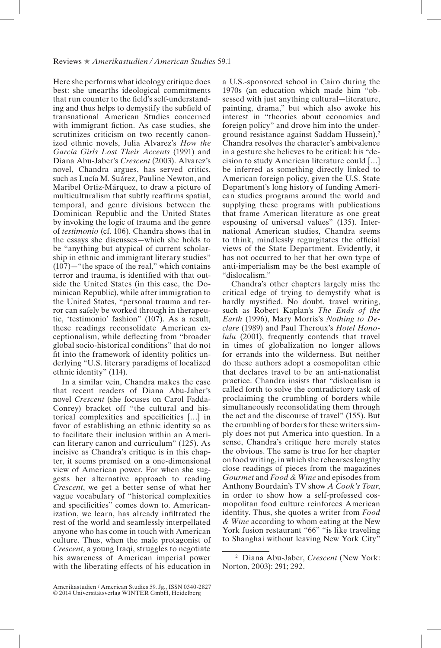Here she performs what ideology critique does best: she unearths ideological commitments that run counter to the field's self-understanding and thus helps to demystify the subfield of transnational American Studies concerned with immigrant fiction. As case studies, she scrutinizes criticism on two recently canonized ethnic novels, Julia Alvarez's *How the García Girls Lost Their Accents* (1991) and Diana Abu-Jaber's *Crescent* (2003). Alvarez's novel, Chandra argues, has served critics, such as Lucía M. Suárez, Pauline Newton, and Maribel Ortiz-Márquez, to draw a picture of multiculturalism that subtly reaffirms spatial, temporal, and genre divisions between the Dominican Republic and the United States by invoking the logic of trauma and the genre of *testimonio* (cf. 106). Chandra shows that in the essays she discusses—which she holds to be "anything but atypical of current scholarship in ethnic and immigrant literary studies" (107)—"the space of the real," which contains terror and trauma, is identified with that outside the United States (in this case, the Dominican Republic), while after immigration to the United States, "personal trauma and terror can safely be worked through in therapeutic, 'testimonio' fashion" (107). As a result, these readings reconsolidate American exceptionalism, while deflecting from "broader global socio-historical conditions" that do not fit into the framework of identity politics underlying "U.S. literary paradigms of localized ethnic identity" (114).

In a similar vein, Chandra makes the case that recent readers of Diana Abu-Jaber's novel *Crescent* (she focuses on Carol Fadda-Conrey) bracket off "the cultural and historical complexities and specificities [...] in favor of establishing an ethnic identity so as to facilitate their inclusion within an American literary canon and curriculum" (125). As incisive as Chandra's critique is in this chapter, it seems premised on a one-dimensional view of American power. For when she suggests her alternative approach to reading *Crescent*, we get a better sense of what her vague vocabulary of "historical complexities and specificities" comes down to. Americanization, we learn, has already infiltrated the rest of the world and seamlessly interpellated anyone who has come in touch with American culture. Thus, when the male protagonist of *Crescent*, a young Iraqi, struggles to negotiate his awareness of American imperial power with the liberating effects of his education in

a U.S.-sponsored school in Cairo during the 1970s (an education which made him "obsessed with just anything cultural—literature, painting, drama," but which also awoke his interest in "theories about economics and foreign policy" and drove him into the underground resistance against Saddam Hussein),<sup>2</sup> Chandra resolves the character's ambivalence in a gesture she believes to be critical: his "decision to study American literature could […] be inferred as something directly linked to American foreign policy, given the U.S. State Department's long history of funding American studies programs around the world and supplying these programs with publications that frame American literature as one great espousing of universal values" (135). International American studies, Chandra seems to think, mindlessly regurgitates the official views of the State Department. Evidently, it has not occurred to her that her own type of anti-imperialism may be the best example of "dislocalism."

Chandra's other chapters largely miss the critical edge of trying to demystify what is hardly mystified. No doubt, travel writing, such as Robert Kaplan's *The Ends of the Earth* (1996), Mary Morris's *Nothing to Declare* (1989) and Paul Theroux's *Hotel Honolulu* (2001), frequently contends that travel in times of globalization no longer allows for errands into the wilderness. But neither do these authors adopt a cosmopolitan ethic that declares travel to be an anti-nationalist practice. Chandra insists that "dislocalism is called forth to solve the contradictory task of proclaiming the crumbling of borders while simultaneously reconsolidating them through the act and the discourse of travel" (155). But the crumbling of borders for these writers simply does not put America into question. In a sense, Chandra's critique here merely states the obvious. The same is true for her chapter on food writing, in which she rehearses lengthy close readings of pieces from the magazines *Gourmet* and *Food & Wine* and episodes from Anthony Bourdain's TV show *A Cook's Tour*, in order to show how a self-professed cosmopolitan food culture reinforces American identity. Thus, she quotes a writer from *Food & Wine* according to whom eating at the New York fusion restaurant "66" "is like traveling to Shanghai without leaving New York City"

<sup>2</sup> Diana Abu-Jaber, *Crescent* (New York: Norton, 2003): 291; 292.

Amerikastudien / American Studies 59. Jg., ISSN 0340-2827 © 2014 Universitätsverlag WINTER GmbH, Heidelberg